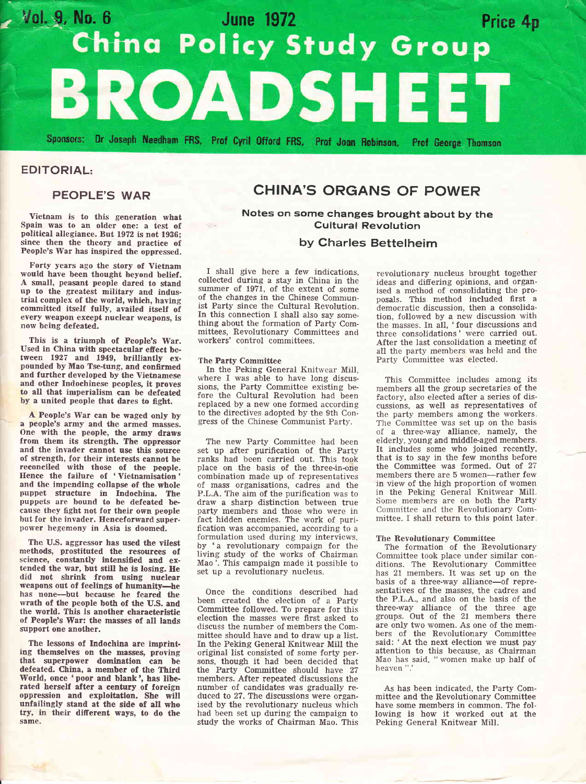

# EDITORIAL:

# PEOPLE'S WAR

Vietnam is to this generation what Spain was to an older one: a test of political allegiance. But 1972 is not 1936; since then the theory and practice of People's War has inspired the oppressed.

Forty years ago the story of Vietnam A small, peasant people dared to stand up to the greatest military and industrial complex of the world, which, having committed itself fully, availed itself of every weapon exeept nuclear weapons, is now being defeated.

This is a triumph of People's War. Used in China with spectacular effect between 1927 and 1949, brilliantly expounded by Mao Tse-tung, and confirmed and further developed by the Vietnamese and other Indochinese peoples, it proves to all that imperialism can be defeated by a united people that dares to fight.

A People's War can be waged only by a people's army and the armed masses. One with the people, the army draws from them its strength. The oppressor and the invader cannot use this source of strength, for their interests cannot be reconciled with those of the people. Hence the failure of 'Vietnamisation' and the impending collapse of the whole puppet structure in fndochina. The puppets are bound to be defeated because they fight not for their own people but for the invader. Henceforward superpower hegemony in Asia is doomed.

The U.S. aggressor has used the vilest methods, prostituted the resources of science, constantly intensified and extended the war, but still he is losing. He did not shrink from using nuclear weapons out of feelings of humanity-he has none-but because he feared the wrath of the people both of the U.S. and the world. This is another characteristic of People's War: the masses of all lands support one another.

The lessons of Indochina are imprint. ing themselves on the masses, proving that superpower domination can be defeated. China, a member of the Third World, once 'poor and blank', has liberated herself after a century of foreign oppression and exploitation. She will unfailingly stand at the side of all who try, in their difrerent ways, to do the same.

# CHINA'S ORGANS OF POWER

Notes on some changes brought about by the Cultural Revolution

## by Charles Bettelheim

I shall give here a few indications, collected during a stay in China in the summer of 1971, of the extent of some of the changes in the Chinese Communist Party since the Cultural Revolution. In this connection I shall also say something about the formation of Party Committees, Revolutionary Committees and workers' control committees.

#### The Party Committee

In the Peking General Knitwear Mill, where I was able to have long discussions, the Party Committee existing before the Cultural Revolution had been replaced by a new one formed according to the directives adopted by the 9th Congress of the Chinese Communist Party.

The new Party Committee had been set up after purification of the Party ranks had been carried out. This took place on the basis of the three-in-one combination made up of representatives of mass organisations, cadres and the P.L.A. The aim of the purification was to draw a sharp distinction between true party members and those who were in fact hidden enemies. The work of puri fication was accompanied, according to a formulation used during my interviews, by 'a revolutionary compaign for the living study of the works of Chairman Mao'. This campaign made it possible to set up a revolutionary nucleus.

Once the conditions described had been created the election of a Party Committee followed. To prepare for this election the masses were first asked to discuss the number of members the Committee should have and to draw up a list. In the Peking General Knitwear Mill the original list consisted of some forty persons, though it had been decided that the Party Committee should have <sup>27</sup> members. After repeated discussions the number of candidates was gradually reduced to 27. The discussions were organised by the revolutionary nucleus which had been set up during the campaign to study the works of Chairman Mao. This

revolutionary nucleus brought together ideas and differing opinions, and organised a method of consolidating the proposals. This method included first <sup>a</sup> democratic discussion, then a consolidation, followed by a new discussion with the masses. In all, 'four discussions and three consolidations' were carried out. After the last consolidation a meeting of all the party members was held and the Party Committee was elected.

This Committee includes among its members all the group secretaries of the factory, also elected after a series of discussions, as well as representatives of the party members among the workers, The Committee was set up on the basis of a three-way alliance, namely, the elderly, young and middle-aged members. It includes some who joined recently, that is to say in the few months before the Committee was formed. Out of <sup>27</sup> members there are 5 women-rather few in view of the high proportion of women in the Peking General Knitwear Mill. Some memhers are on both the Party Comrnittee and the Revolutionary Committee. I shall return to this point later,

#### The Revolutionary Committee

The formation of the Revolutionary Committee took place under similar conditions. The Revolutionary Committee has 21 members. It was set up on the basis of a three-way alliance-of representatives of the masses, the cadres and the P.L.A., and also on the basis of the three-way alliance of the three age groups. Out of the 2l members there are only two women. As one of the members of the Revolutionary Committee said: 'At the next election we must pay attention to this because, as Chairman Mao has said, " women make up half of heaven ".'

As has been indicated, the Party Committee and the Revolutionary Committee have some members in common. The following is how it worked out at the Peking General Knitwear Mill.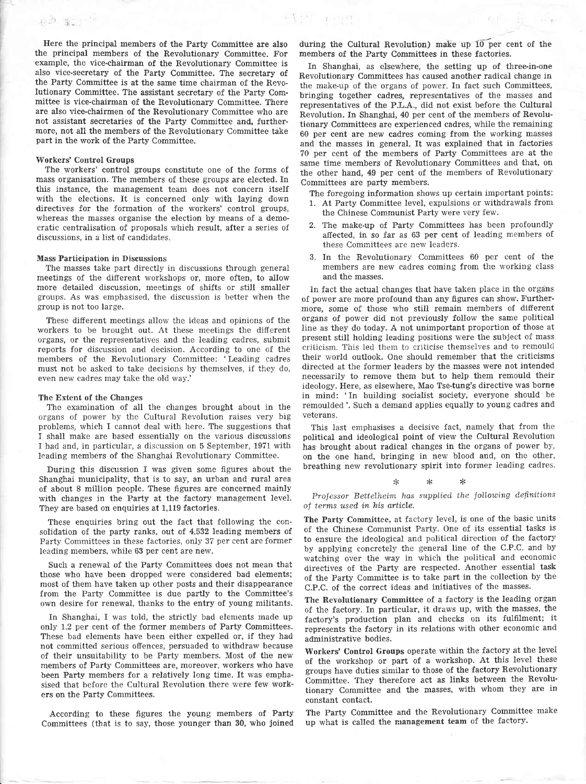Here the principal members of the Party Committee are also the principal members of the Revolutionary Committee. For example, the vice-chairman of the Revolutionary Committee is also vice-secretary of the Party Committee. The secretary of the Party Committee is at the same time chairman of the Revolutionary Committee. The assistant secretary of the Party Committee is vice-chairman of the Revolutionary Committee. There are also vice-chairmen of the Revolutionary Committee who are not assistant secretaries of the Party Committee and, furthermore, not all the members of the Revolutionary Committee take part in the work of the Party Committee.

#### Workers' Control Groups

The workers' control groups constitute one of the forms of mass organisation. The members of these groups are elected. In this instance, the management team does not concern itself with the elections. It is concerned only with laying down directives for the formation of the workers' control groups, whereas the masses organise the election by means of a democratic centralisation of proposals which result, after a series of discussions, in a list of candidates.

#### Mass Participation in Discussions

The masses take part directly in discussions through general meetings of the different workshops or, more often, to allow more detailed discussion, meetings of shifts or still smaller groups. As was emphasised, the discussion is better when the group is not too large.

These different meetings allow the ideas and opinions of the workers to be brought out. At these meetings the different organs, or the representatives and the leading cadres, submit reports for discussion and decision. According to one of the members of the Revolutionary Committee: 'Leading cadres must not be asked to take decisions by themselves, if they do, even new cadres may take the old way.'

#### The Extent of the Changes

The examination of all the changes brought about in the organs of power by the Cultural Revolution raises very big problems, which I cannot deal with here. The suggestions that I shall make are based essentially on the various discussions I had and, in particular, a discussion on 5 September, 1971 with leading members of the Shanghai Revolutionary Committee.

During this discussion I was given some figures about the Shanghai municipality, that is to say, an urban and rural area of about 8 million people. These figures are concerned mainly with changes in the Party at the factory management level. They are based on enquiries at 1,119 factories.

These enquiries bring out the fact that following the consolidation of the party ranks, out of 4,532 leading members of Party Committees in these factories, only 37 per cent are former leading members, while 63 per cent are new.

Such a renewal of the Party Committees does not mean that those who have been dropped were considered bad elements; most of them have taken up other posts and their disappearance from the Party Committee is due partly to the Committee's own desire for renewal, thanks to the entry of young militants.

In Shanghai, I was told, the strictly bad elements made up only 1.2 per cent of the former members of Party Committees. These bad elements have been either expelled or, if they had not committed serious offences, persuaded to withdraw because of their unsuitability to be Party members. Most of the new members of Party Committees are, moreover, workers who have been Party members for a relatively long time. It was emphasised that before the Cultural Revolution there were few workers on the Party Committees.

According to these figures the young members of Party Committees (that is to say, those younger than 30, who joined

during the Cultural Revolution) make up  $10$  per cent of the members of the Party Committees in these factories.

In Shanghai, as elsewhere, the setting up of three-in-one Revolutionary Committees has caused another radical change in the make-up of the organs of power. In fact such Committees, bringing together cadres, representatives of the masses and representatives of the P.L.A., did not exist before the Cultural Revolution. In Shanghai, 40 per cent of the members of Revolutionary Committees are experienced cadres, while the remaining 60 per cent are new cadres coming from the working masses and the masses in general. It was explained that in factories 70 per cent of the members of Party Committees are at the same time mernbers of Revolutionary Committees and that, on the other hand, 49 per cent of the members of Revolutionary Committees are party members.

The foregoing information shows up certain important points:

- 1. At Party Committee level, expulsions or withdrawals from the Chinese Communist Party were very fev;.
- 2. The make-up of Party Committees has been profoundly affected, in so far as 63 per cent of leading members of these Committees are new leaders.
- 3. In the Revolutionary Committees 60 per cent of the members are new cadres coming from the working class and the masses.

In fact the actual changes that have taken place in the organs of power are more profound than any figures can show. Further' more, some of those who still remain members of different organs of power did not previously follow the sarne political line as they do today. A not unimportant proportion of those at present still holding leading positions were the subiect of mass criticism. This led them to criticise themselves and to remould their world outlook. One should remember that the criticisms directed at the former leaders by the masses were not intended necessarily to remove them but to help thern remould their ideology. Here, as elsewhere, Mao Tse-tung's directive was borne in mind: 'In building socialist society, everyone should be remoulded'. Such a demand applies equally to young cadres and veterans.

This last emphasises a decisive faet, namely that from the political and ideological point of view the Cultural Revolution has brought about radical changes in the organs of power by, on the one hand, bringing in new blood and, on the other, breathing new revolutionary spirit into former leading cadres.

> $\ast$  $\ast$  $\ast$

Professor Bettelheim has supplied the following definitions of terms used in his article.

The Party Committee, at factory level, is one of the basic units of the Chinese Communist Party. One of its essential tasks is to ensure the ideological and political direction of the factory by applying concretely the general line of the C.P.C. and by watching over the way in which the political and economic directives of the Party are respected. Another essential task of the Party Cornmittee is to take part in the collection by the C.P.C. of the correct ideas and initiatives of the masses.

The Revolutionary Committee of a factory is the leading organ of the factory. In particular, it draws up, with the masses, the factory's production plan and checks on its fulfilment; it represents the factory in its relations with other economic and administrative bodies.

Workers' Control Groups operate within the factory at the level of the workshop or part of a workshop. At this level these groups have duties similar to those of the factory Revolutionary Committee. They therefore act as links between the Revolu' tionary Committee and the masses, with whom they are in constant contact.

The Party Committee and the Revolutionary Committee make up what is called the management team of the factory'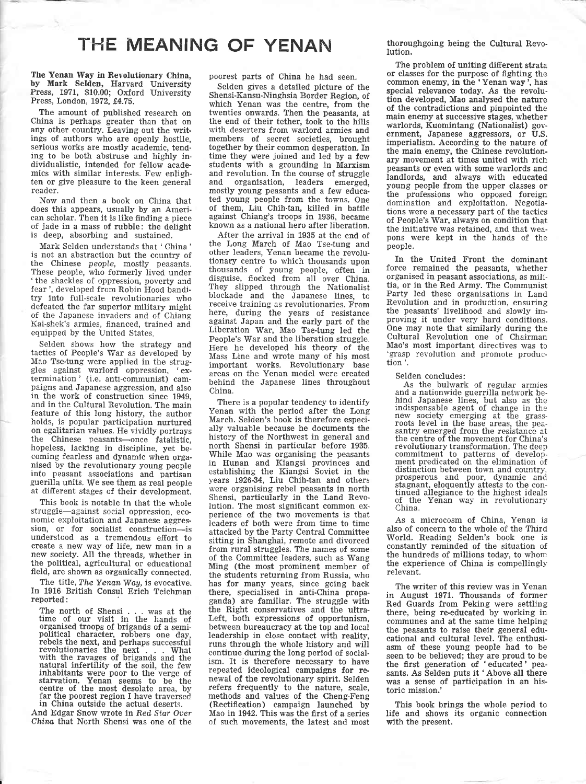# THE MEANING OF YENAN

The Yenan Way in Revolutionary China, by Mark Selden, Harvard University Press, 1971, \$10.00; Oxford University Press, London, 1972, £4.75.

The amount of published research on China is perhaps greater than that on any other country. Leaving out the writings of authors who are openly hostile, serious works are mostly academic, tend. ing to be both abstruse and highly individualistic, intended for fellow academics with similar interests. Few enlighten or give pleasure to the keen general reader.

Now and then a book on China that does this appears, usually by an Ameri can scholar. Then it is like finding a piece of jade in a mass of rubble: the delight is deep, absorbing and sustained.

Mark Selden understands that ' China'<br>is not an abstraction but the country of the Chinese people, mostly peasants. These people, who formerly lived under 'the shackles of oppression, poverty and fear', developed from Robin Hood banditry into full-scale revolutionaries who defeated the far superior military might of the Japanese invaders and of Chiang Kai-shek's armies, financed, trained and equipped by the United States.

Selden shows how the strategy and tactics of People's War as developed by gles against warlord oppression, 'extermination' (i.e. anti-communist) cam-<br>paigns and Japanese aggression, and also in the work of construction since 1949, and in the Cultural Revolution. The main feature of this long history, the author holds, is popular participation nurtured on egalitarian values. He vividly portrays the Chinese peasants-once fatalistic, hopeless, lacking in discipline, yet becoming fearless and dynamic when organised by the revolutionary young people into peasant associations and partisan guerilla units. We see them as real people at different stages of their development.

This book is notable in that the whole struggie-against social oppression, economic exploitation and Japanese aggression, or for socialist construction-is understood as a tremendous effort to create a new way of life, new man in a new society. All the threads, whether in the political, agricultural or edueational field, are shown as organically connected.

The title, The Yenan Way, is evocative. In 1916 British Consul Erich Teichman reported:

The north of Shensi . . . was at the time of our visit in the hands of organised troops of brigands of a semi political charaeter, robbers one day, rebels the next, and perhaps successful revolutionaries the next . . . What with the ravages of brigands and the natural infertility of the soil, the few inhabitants were poor to the verge of starvation. Yenan seems to be the centre of the most desolate area, by far the poorest region I have traversed in China outside the actual deserts.

And Edgar Snow wrote in Red Star Over China that North Shensi was one of the poorest parts of China he had seen.

Selden gives a detailed picture of the Shensi-Kansu-Ninghsia Border Region, of which Yenan was the centre, from the twenties onwards. Then the peasants, at the end of their tether, took to the hilts with deserters from warlord armies and members of secret societies, brought together by their common desperation. In time they were joined and led by a few students with a grounding in Marxism and revolution. fn the course of struggle and organisation, leaders emerged, mostly young peasants and a few educated young people from the towns. One of them, Liu Chih-tan, killed in battle against Chiang's troops in 1936. became known as a national hero after liberation.

After the arrival in 1935 at the end of the Long March of Mao Tse-tung and other leaders, Yenan became the revolutionary centre to which thousands upon thousands of young people, often in disguise, flocked from all over China. They slipped through the Nationalist blockade and the Japanese lines, to receive training as revolutionaries. From here, during the years of resistance against Japan and the early part of the Liberation War, Mao Tse-tung led the People's War and the liberation struggle. Here he developed his theory of the Mass Line and wrote many of his most important works. Revolutionary base areas on the Yenan model were created behind the Japanese lines throughout China.

There is a popular tendency to identify Yenan with the period after the Long March. Selden's book is therefore especially valuable because he documents the history of the Northwest in general and north Shensi in particular before 1935. While Mao was organising the peasants in Hunan and Kiangsi provinces and establishing the Kiangsi Soviet in the years 1926-34, Liu Chih-tan and others were organising rebel peasants in north Shensi, particularly in the Land Revolution. The most significant common experience of the two movements is that leaders of both were from time to time attacked by the Party Central Committee sitting in Shanghai, remote and divorced from rural struggles. The names of some of the Committee leaders, such as Wang Ming (the most prominent member of the students returning from Russia, who has for many years, since going back there, specialised in anti-China propaganda) are familiar. The struggle with the Right conservatives and the ultra-Left, both expressions of opportunism, between bureaucracy at the top and local leadership in close contact with reality, runs through the whole history and will continue during the long period of socialism. It is therefore necessary to have repeated ideological campaigns for renewal of the revolutionary spirit. Selden refers frequently to the nature, scale, methods and values of the Cheng-Feng (Rectification) campaign launched by Mao in 1942. This was the first of a series of such movements, the latest and most thoroughgoing being the Cultural Revolution.

The problem of uniting different strata or classes for the purpose of fighting the common enemy, in the 'Yenan way', has special relevance today. As the revolution developed, Mao analysed the nature of the contradictions and pinpointed the main enemy at successive stages, whether warlords, Kuomintang (Nationalist) government, Japanese aggressors, or U.S. imperialism. According to the nature of the main enemy, the Chinese revolutionary movement at times united with rich peasants or even with some warlords and landlords, and always with educated young people from the upper classes or the professions who opposed foreign domination and exploitation. Negotiations were a necessary part of the tactics of People's War, always on condition that the initiative was retained, and that weapons were kept in the hands of the people.

In the United Front the dominant force remained the peasants, whether organised in peasant associations, as mili tia, or in the Red Army. The Communist Party led these organisations in Land Revolution and in production, ensuring the peasants' livelihood and slowly improving it under very hard conditions. One may note that similarly during the Cultural Revolution one of Chairman Mao's most important directives was to 'grasp revolution and promote production'.

Selden concludes:

As the bulwark of regular armies<br>and a nationwide guerrilla network behind Japanese lines, but also as the indispensable agent of change in the new society emerging at the grassroots level in the base areas, the peasantry emerged from the resistance at the centre of the movement for China's revolutionary transformation. The deep commitment to patterns of develop-ment predicated on the elimination of distinction between town and country, prosperous and poor, dynamic and stagnant, eloquently attests to the continued allegiance to the highest ideals of the Yenan way in revolutionary China.

As a microcosm of China, Yenan is also of concern to the whole of the Third World. Reading Selden's book one is constantly reminded of the situation of the hundreds of millions today, to whom the experience of China is compellingly relevant.

The writer of this review was in Yenan in August 1971. Thousands of former Red Guards from Peking were settling there, being re-edueated by working in communes and at the same time helping the peasants to raise their general educational and cultural level. The enthusiasm of these young people had to be seen to be believed; they are proud to be the first generation of 'educated' peasants. As Selden puts it 'Above all there was a sense of participation in an historic mission.'

This book brings the whole period to life and shows its organic connection with the present.